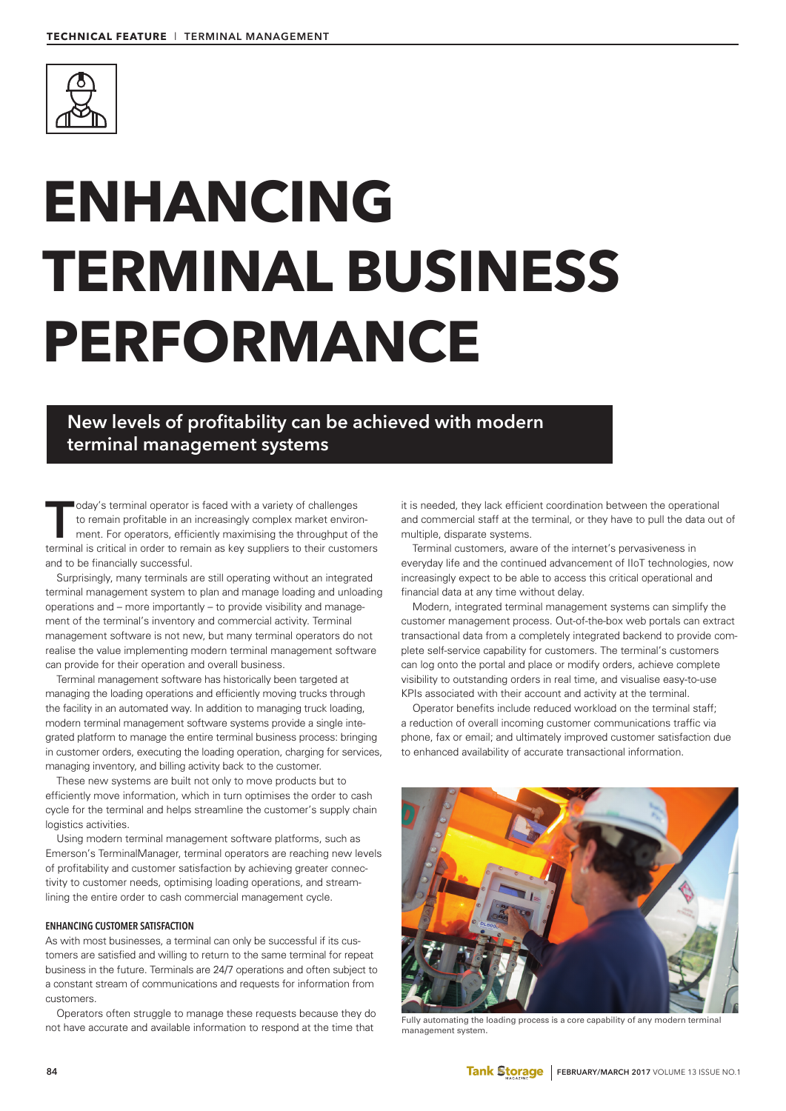

# **ENHANCING TERMINAL BUSINESS PERFORMANCE**

**New levels of profitability can be achieved with modern terminal management systems**

oday's terminal operator is faced with a variety of challenges<br>to remain profitable in an increasingly complex market enviror<br>ment. For operators, efficiently maximising the throughput of<br>terminal is critical in order to r to remain profitable in an increasingly complex market environment. For operators, efficiently maximising the throughput of the terminal is critical in order to remain as key suppliers to their customers and to be financially successful.

Surprisingly, many terminals are still operating without an integrated terminal management system to plan and manage loading and unloading operations and – more importantly – to provide visibility and management of the terminal's inventory and commercial activity. Terminal management software is not new, but many terminal operators do not realise the value implementing modern terminal management software can provide for their operation and overall business.

Terminal management software has historically been targeted at managing the loading operations and efficiently moving trucks through the facility in an automated way. In addition to managing truck loading, modern terminal management software systems provide a single integrated platform to manage the entire terminal business process: bringing in customer orders, executing the loading operation, charging for services, managing inventory, and billing activity back to the customer.

These new systems are built not only to move products but to efficiently move information, which in turn optimises the order to cash cycle for the terminal and helps streamline the customer's supply chain logistics activities.

Using modern terminal management software platforms, such as Emerson's TerminalManager, terminal operators are reaching new levels of profitability and customer satisfaction by achieving greater connectivity to customer needs, optimising loading operations, and streamlining the entire order to cash commercial management cycle.

# **ENHANCING CUSTOMER SATISFACTION**

As with most businesses, a terminal can only be successful if its customers are satisfied and willing to return to the same terminal for repeat business in the future. Terminals are 24/7 operations and often subject to a constant stream of communications and requests for information from customers.

Operators often struggle to manage these requests because they do not have accurate and available information to respond at the time that

it is needed, they lack efficient coordination between the operational and commercial staff at the terminal, or they have to pull the data out of multiple, disparate systems.

Terminal customers, aware of the internet's pervasiveness in everyday life and the continued advancement of IIoT technologies, now increasingly expect to be able to access this critical operational and financial data at any time without delay.

Modern, integrated terminal management systems can simplify the customer management process. Out-of-the-box web portals can extract transactional data from a completely integrated backend to provide complete self-service capability for customers. The terminal's customers can log onto the portal and place or modify orders, achieve complete visibility to outstanding orders in real time, and visualise easy-to-use KPIs associated with their account and activity at the terminal.

Operator benefits include reduced workload on the terminal staff; a reduction of overall incoming customer communications traffic via phone, fax or email; and ultimately improved customer satisfaction due to enhanced availability of accurate transactional information.



Fully automating the loading process is a core capability of any modern terminal management system.